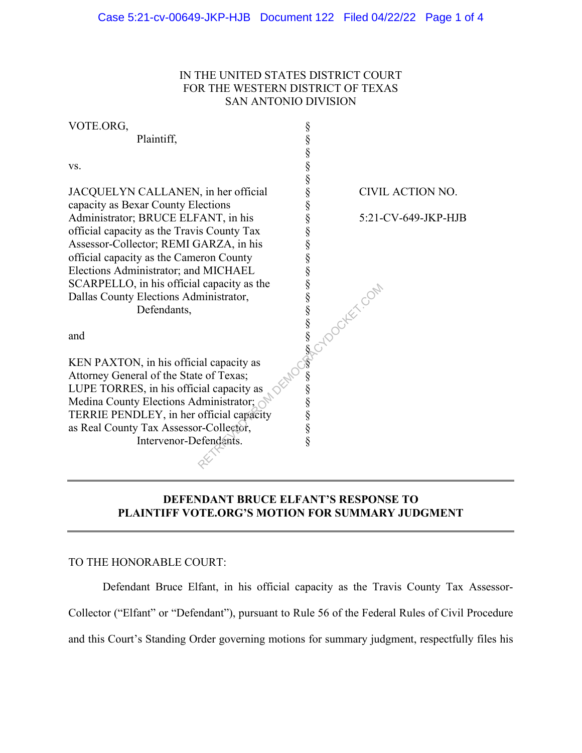# IN THE UNITED STATES DISTRICT COURT FOR THE WESTERN DISTRICT OF TEXAS SAN ANTONIO DIVISION

| VOTE.ORG,                                  |   |                       |
|--------------------------------------------|---|-----------------------|
| Plaintiff,                                 |   |                       |
|                                            |   |                       |
| VS.                                        |   |                       |
|                                            |   |                       |
| JACQUELYN CALLANEN, in her official        |   | CIVIL ACTION NO.      |
| capacity as Bexar County Elections         |   |                       |
| Administrator; BRUCE ELFANT, in his        |   | 5:21-CV-649-JKP-HJB   |
| official capacity as the Travis County Tax |   |                       |
| Assessor-Collector; REMI GARZA, in his     |   |                       |
| official capacity as the Cameron County    |   |                       |
| Elections Administrator; and MICHAEL       |   |                       |
| SCARPELLO, in his official capacity as the |   |                       |
| Dallas County Elections Administrator,     |   |                       |
| Defendants,                                |   | <b>SECUDOCHET COM</b> |
|                                            |   |                       |
| and                                        |   |                       |
|                                            |   |                       |
| KEN PAXTON, in his official capacity as    |   |                       |
| Attorney General of the State of Texas;    |   |                       |
| LUPE TORRES, in his official capacity as   |   |                       |
| Medina County Elections Administrator;     |   |                       |
| TERRIE PENDLEY, in her official capacity   |   |                       |
| as Real County Tax Assessor-Collector,     |   |                       |
| Intervenor-Defendants.                     | § |                       |
|                                            |   |                       |

# **DEFENDANT BRUCE ELFANT'S RESPONSE TO PLAINTIFF VOTE.ORG'S MOTION FOR SUMMARY JUDGMENT**

## TO THE HONORABLE COURT:

Defendant Bruce Elfant, in his official capacity as the Travis County Tax Assessor-Collector ("Elfant" or "Defendant"), pursuant to Rule 56 of the Federal Rules of Civil Procedure and this Court's Standing Order governing motions for summary judgment, respectfully files his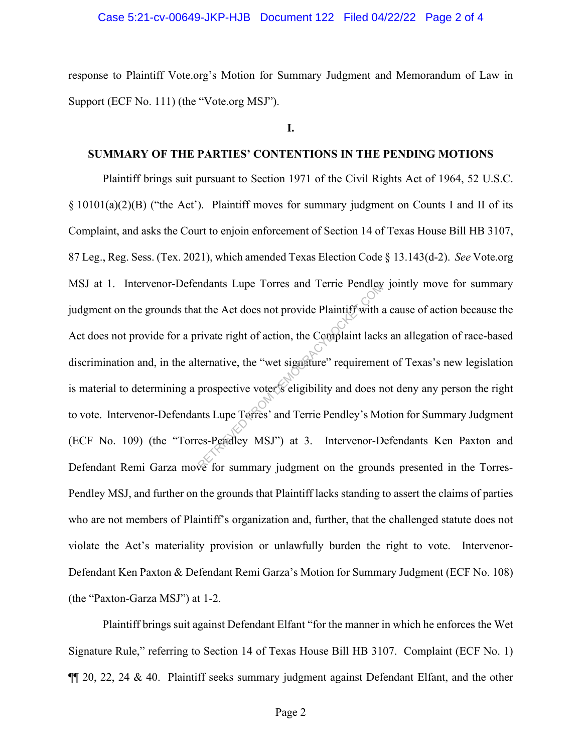### Case 5:21-cv-00649-JKP-HJB Document 122 Filed 04/22/22 Page 2 of 4

response to Plaintiff Vote.org's Motion for Summary Judgment and Memorandum of Law in Support (ECF No. 111) (the "Vote.org MSJ").

**I.**

## **SUMMARY OF THE PARTIES' CONTENTIONS IN THE PENDING MOTIONS**

Plaintiff brings suit pursuant to Section 1971 of the Civil Rights Act of 1964, 52 U.S.C. § 10101(a)(2)(B) ("the Act'). Plaintiff moves for summary judgment on Counts I and II of its Complaint, and asks the Court to enjoin enforcement of Section 14 of Texas House Bill HB 3107, 87 Leg., Reg. Sess. (Tex. 2021), which amended Texas Election Code § 13.143(d-2). *See* Vote.org MSJ at 1. Intervenor-Defendants Lupe Torres and Terrie Pendley jointly move for summary judgment on the grounds that the Act does not provide Plaintiff with a cause of action because the Act does not provide for a private right of action, the Complaint lacks an allegation of race-based discrimination and, in the alternative, the "wet signature" requirement of Texas's new legislation is material to determining a prospective voter's eligibility and does not deny any person the right to vote. Intervenor-Defendants Lupe Torres' and Terrie Pendley's Motion for Summary Judgment (ECF No. 109) (the "Torres-Pendley MSJ") at 3. Intervenor-Defendants Ken Paxton and Defendant Remi Garza move for summary judgment on the grounds presented in the Torres-Pendley MSJ, and further on the grounds that Plaintiff lacks standing to assert the claims of parties who are not members of Plaintiff's organization and, further, that the challenged statute does not violate the Act's materiality provision or unlawfully burden the right to vote. Intervenor-Defendant Ken Paxton & Defendant Remi Garza's Motion for Summary Judgment (ECF No. 108) (the "Paxton-Garza MSJ") at 1-2. Reflective the Act does not provide Plaintiff with a<br>rivate right of action, the Complaint lack<br>ternative, the "wet signature" requirement<br>prospective voter's eligibility and does not<br>nts Lupe Terres' and Terrie Pendley's

Plaintiff brings suit against Defendant Elfant "for the manner in which he enforces the Wet Signature Rule," referring to Section 14 of Texas House Bill HB 3107. Complaint (ECF No. 1)  $\P$ [[ 20, 22, 24 & 40. Plaintiff seeks summary judgment against Defendant Elfant, and the other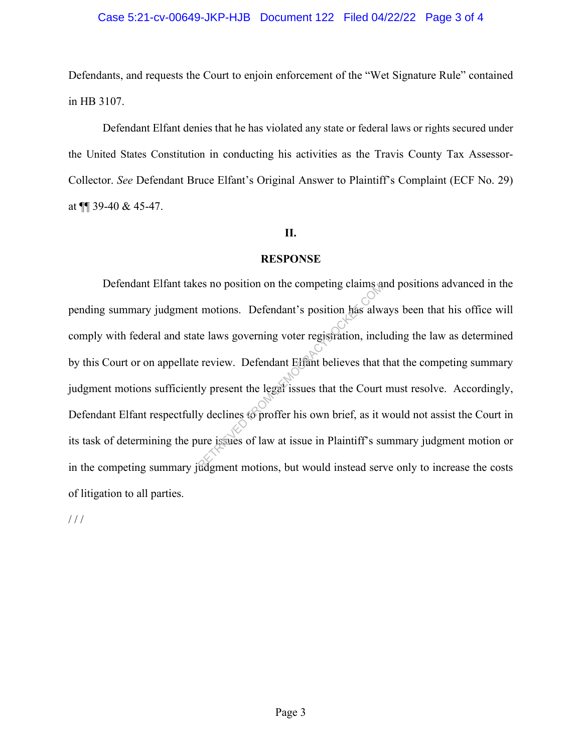## Case 5:21-cv-00649-JKP-HJB Document 122 Filed 04/22/22 Page 3 of 4

Defendants, and requests the Court to enjoin enforcement of the "Wet Signature Rule" contained in HB 3107.

Defendant Elfant denies that he has violated any state or federal laws or rights secured under the United States Constitution in conducting his activities as the Travis County Tax Assessor-Collector. *See* Defendant Bruce Elfant's Original Answer to Plaintiff's Complaint (ECF No. 29) at ¶¶ 39-40 & 45-47.

#### **II.**

#### **RESPONSE**

Defendant Elfant takes no position on the competing claims and positions advanced in the pending summary judgment motions. Defendant's position has always been that his office will comply with federal and state laws governing voter registration, including the law as determined by this Court or on appellate review. Defendant Elfant believes that that the competing summary judgment motions sufficiently present the legal issues that the Court must resolve. Accordingly, Defendant Elfant respectfully declines to proffer his own brief, as it would not assist the Court in its task of determining the pure issues of law at issue in Plaintiff's summary judgment motion or in the competing summary judgment motions, but would instead serve only to increase the costs of litigation to all parties. The set of position of the competing claims at<br>the laws governing voter registration, incl<br>review. Defendant Elfant believes that<br>ly present the legal issues that the Court<br>y declines to proffer his own brief, as it v<br>ure

/ / /